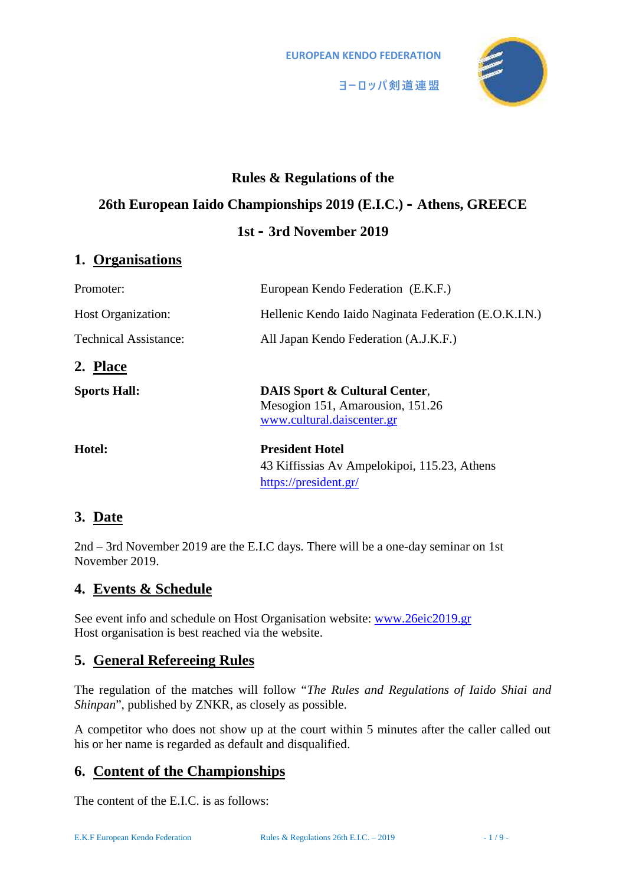**EUROPEAN KENDO FEDERATION**



# **Rules & Regulations of the 26th European Iaido Championships 2019 (E.I.C.) – Athens, GREECE 1st – 3rd November 2019**

# **1. Organisations**

| Promoter:                    | European Kendo Federation (E.K.F.)                                                                         |
|------------------------------|------------------------------------------------------------------------------------------------------------|
| <b>Host Organization:</b>    | Hellenic Kendo Iaido Naginata Federation (E.O.K.I.N.)                                                      |
| <b>Technical Assistance:</b> | All Japan Kendo Federation (A.J.K.F.)                                                                      |
| 2. Place                     |                                                                                                            |
| <b>Sports Hall:</b>          | <b>DAIS Sport &amp; Cultural Center,</b><br>Mesogion 151, Amarousion, 151.26<br>www.cultural.daiscenter.gr |
| Hotel:                       | <b>President Hotel</b><br>43 Kiffissias Av Ampelokipoi, 115.23, Athens<br>https://president.gr/            |

# **3. Date**

2nd – 3rd November 2019 are the E.I.C days. There will be a one-day seminar on 1st November 2019.

# **4. Events & Schedule**

See event info and schedule on Host Organisation website: www.26eic2019.gr Host organisation is best reached via the website.

# **5. General Refereeing Rules**

The regulation of the matches will follow "*The Rules and Regulations of Iaido Shiai and Shinpan*", published by ZNKR, as closely as possible.

A competitor who does not show up at the court within 5 minutes after the caller called out his or her name is regarded as default and disqualified.

# **6. Content of the Championships**

The content of the E.I.C. is as follows: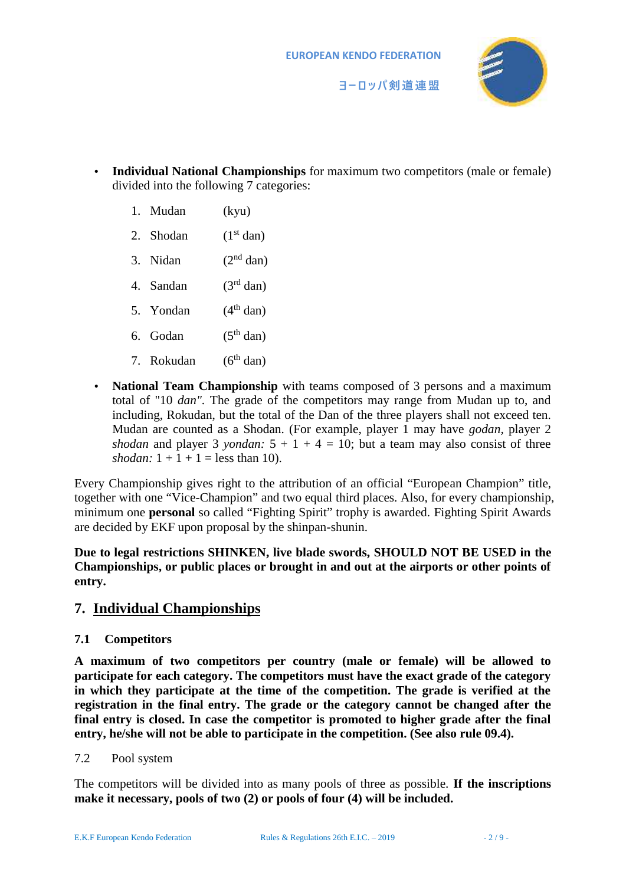

- **Individual National Championships** for maximum two competitors (male or female) divided into the following 7 categories:
	- 1. Mudan (kyu)
	- 2. Shodan  $(1<sup>st</sup> dan)$
	- 3. Nidan  $(2<sup>nd</sup> dan)$
	- 4. Sandan  $(3<sup>rd</sup> dan)$
	- 5. Yondan  $(4<sup>th</sup> \text{ dan})$
	- 6. Godan  $(5<sup>th</sup> \text{ dan})$
	- 7. Rokudan  $(6^{th}$  dan)
- **National Team Championship** with teams composed of 3 persons and a maximum total of "10 *dan".* The grade of the competitors may range from Mudan up to, and including, Rokudan, but the total of the Dan of the three players shall not exceed ten. Mudan are counted as a Shodan. (For example, player 1 may have *godan,* player 2 *shodan* and player 3 *yondan:*  $5 + 1 + 4 = 10$ ; but a team may also consist of three *shodan:*  $1 + 1 + 1 =$  less than 10).

Every Championship gives right to the attribution of an official "European Champion" title, together with one "Vice-Champion" and two equal third places. Also, for every championship, minimum one **personal** so called "Fighting Spirit" trophy is awarded. Fighting Spirit Awards are decided by EKF upon proposal by the shinpan-shunin.

**Due to legal restrictions SHINKEN, live blade swords, SHOULD NOT BE USED in the Championships, or public places or brought in and out at the airports or other points of entry.**

### **7. Individual Championships**

#### **7.1 Competitors**

**A maximum of two competitors per country (male or female) will be allowed to participate for each category. The competitors must have the exact grade of the category in which they participate at the time of the competition. The grade is verified at the registration in the final entry. The grade or the category cannot be changed after the final entry is closed. In case the competitor is promoted to higher grade after the final entry, he/she will not be able to participate in the competition. (See also rule 09.4).**

#### 7.2 Pool system

The competitors will be divided into as many pools of three as possible. **If the inscriptions make it necessary, pools of two (2) or pools of four (4) will be included.**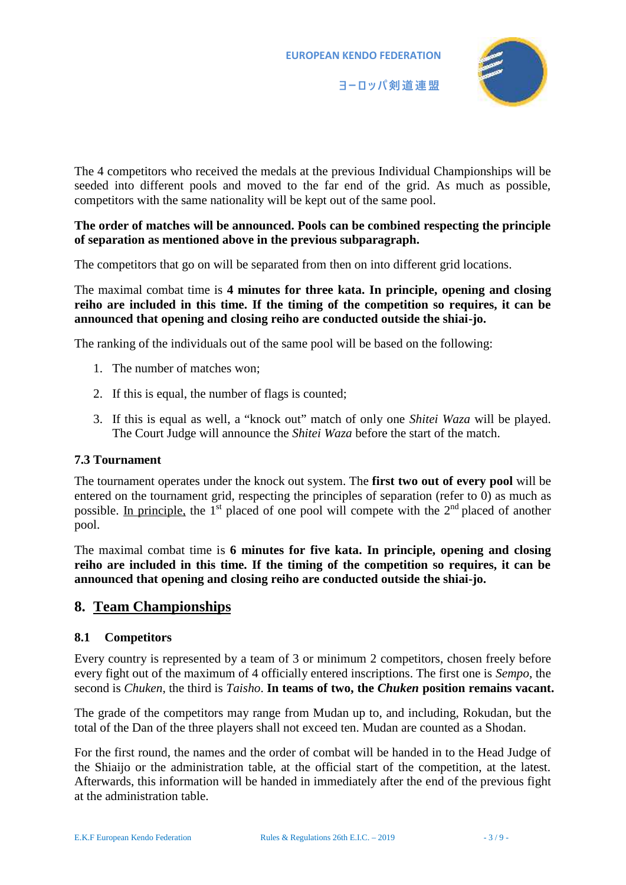



The 4 competitors who received the medals at the previous Individual Championships will be seeded into different pools and moved to the far end of the grid. As much as possible, competitors with the same nationality will be kept out of the same pool.

#### **The order of matches will be announced. Pools can be combined respecting the principle of separation as mentioned above in the previous subparagraph.**

The competitors that go on will be separated from then on into different grid locations.

The maximal combat time is **4 minutes for three kata. In principle, opening and closing reiho are included in this time. If the timing of the competition so requires, it can be announced that opening and closing reiho are conducted outside the shiai-jo.**

The ranking of the individuals out of the same pool will be based on the following:

- 1. The number of matches won;
- 2. If this is equal, the number of flags is counted;
- 3. If this is equal as well, a "knock out" match of only one *Shitei Waza* will be played. The Court Judge will announce the *Shitei Waza* before the start of the match.

#### **7.3 Tournament**

The tournament operates under the knock out system. The **first two out of every pool** will be entered on the tournament grid, respecting the principles of separation (refer to 0) as much as possible. In principle, the 1<sup>st</sup> placed of one pool will compete with the 2<sup>nd</sup> placed of another pool.

The maximal combat time is **6 minutes for five kata. In principle, opening and closing reiho are included in this time. If the timing of the competition so requires, it can be announced that opening and closing reiho are conducted outside the shiai-jo.**

### **8. Team Championships**

#### **8.1 Competitors**

Every country is represented by a team of 3 or minimum 2 competitors, chosen freely before every fight out of the maximum of 4 officially entered inscriptions. The first one is *Sempo*, the second is *Chuken*, the third is *Taisho*. **In teams of two, the** *Chuken* **position remains vacant.**

The grade of the competitors may range from Mudan up to, and including, Rokudan, but the total of the Dan of the three players shall not exceed ten. Mudan are counted as a Shodan.

For the first round, the names and the order of combat will be handed in to the Head Judge of the Shiaijo or the administration table, at the official start of the competition, at the latest. Afterwards, this information will be handed in immediately after the end of the previous fight at the administration table.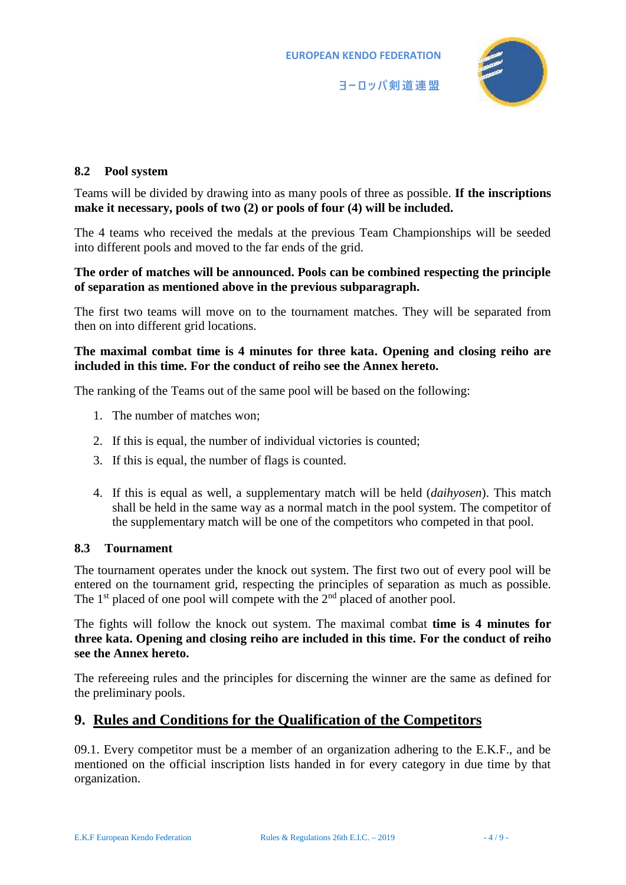

#### **8.2 Pool system**

Teams will be divided by drawing into as many pools of three as possible. **If the inscriptions make it necessary, pools of two (2) or pools of four (4) will be included.**

The 4 teams who received the medals at the previous Team Championships will be seeded into different pools and moved to the far ends of the grid.

#### **The order of matches will be announced. Pools can be combined respecting the principle of separation as mentioned above in the previous subparagraph.**

The first two teams will move on to the tournament matches. They will be separated from then on into different grid locations.

#### **The maximal combat time is 4 minutes for three kata. Opening and closing reiho are included in this time. For the conduct of reiho see the Annex hereto.**

The ranking of the Teams out of the same pool will be based on the following:

- 1. The number of matches won;
- 2. If this is equal, the number of individual victories is counted;
- 3. If this is equal, the number of flags is counted.
- 4. If this is equal as well, a supplementary match will be held (*daihyosen*). This match shall be held in the same way as a normal match in the pool system. The competitor of the supplementary match will be one of the competitors who competed in that pool.

#### **8.3 Tournament**

The tournament operates under the knock out system. The first two out of every pool will be entered on the tournament grid, respecting the principles of separation as much as possible. The 1<sup>st</sup> placed of one pool will compete with the  $2<sup>nd</sup>$  placed of another pool.

The fights will follow the knock out system. The maximal combat **time is 4 minutes for three kata. Opening and closing reiho are included in this time. For the conduct of reiho see the Annex hereto.**

The refereeing rules and the principles for discerning the winner are the same as defined for the preliminary pools.

### **9. Rules and Conditions for the Qualification of the Competitors**

09.1. Every competitor must be a member of an organization adhering to the E.K.F., and be mentioned on the official inscription lists handed in for every category in due time by that organization.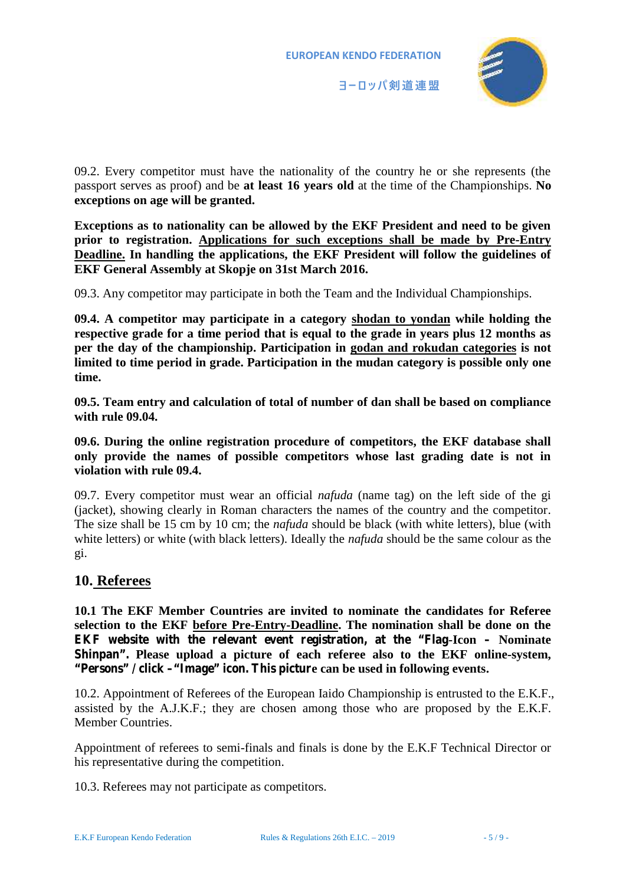



09.2. Every competitor must have the nationality of the country he or she represents (the passport serves as proof) and be **at least 16 years old** at the time of the Championships. **No exceptions on age will be granted.**

**Exceptions as to nationality can be allowed by the EKF President and need to be given prior to registration. Applications for such exceptions shall be made by Pre-Entry Deadline. In handling the applications, the EKF President will follow the guidelines of EKF General Assembly at Skopje on 31st March 2016.**

09.3. Any competitor may participate in both the Team and the Individual Championships.

**09.4. A competitor may participate in a category shodan to yondan while holding the respective grade for a time period that is equal to the grade in years plus 12 months as per the day of the championship. Participation in godan and rokudan categories is not limited to time period in grade. Participation in the mudan category is possible only one time.**

**09.5. Team entry and calculation of total of number of dan shall be based on compliance with rule 09.04.**

**09.6. During the online registration procedure of competitors, the EKF database shall only provide the names of possible competitors whose last grading date is not in violation with rule 09.4.**

09.7. Every competitor must wear an official *nafuda* (name tag) on the left side of the gi (jacket), showing clearly in Roman characters the names of the country and the competitor. The size shall be 15 cm by 10 cm; the *nafuda* should be black (with white letters), blue (with white letters) or white (with black letters). Ideally the *nafuda* should be the same colour as the gi.

### **10. Referees**

**10.1 The EKF Member Countries are invited to nominate the candidates for Referee selection to the EKF before Pre-Entry-Deadline. The nomination shall be done on the EKF website with the relevant event registration, at the "Flag-Icon – Nominate Shinpan". Please upload a picture of each referee also to the EKF online-system, "Persons" / click –"Image" icon. This picture can be used in following events.**

10.2. Appointment of Referees of the European Iaido Championship is entrusted to the E.K.F., assisted by the A.J.K.F.; they are chosen among those who are proposed by the E.K.F. Member Countries.

Appointment of referees to semi-finals and finals is done by the E.K.F Technical Director or his representative during the competition.

10.3. Referees may not participate as competitors.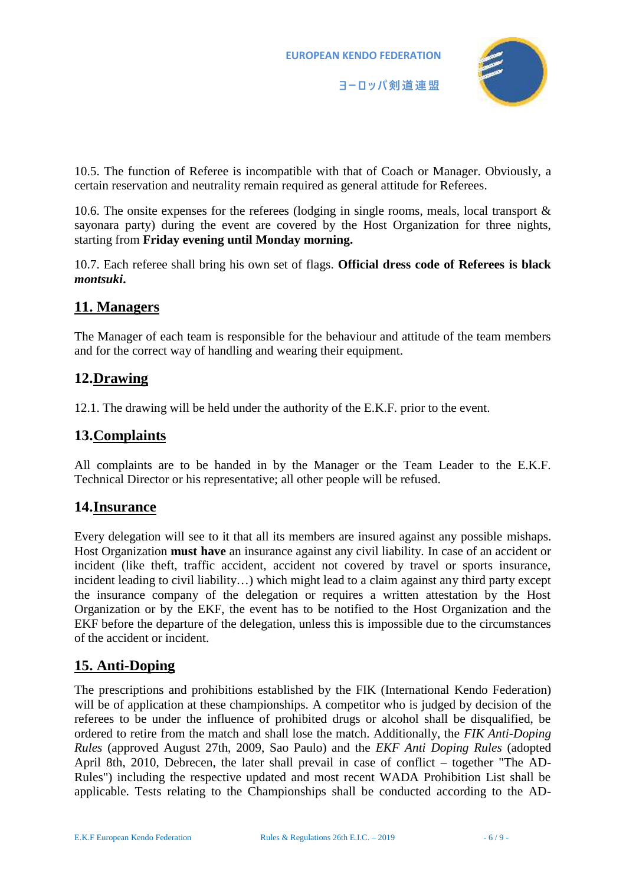

10.5. The function of Referee is incompatible with that of Coach or Manager. Obviously, a certain reservation and neutrality remain required as general attitude for Referees.

10.6. The onsite expenses for the referees (lodging in single rooms, meals, local transport & sayonara party) during the event are covered by the Host Organization for three nights, starting from **Friday evening until Monday morning.**

10.7. Each referee shall bring his own set of flags. **Official dress code of Referees is black** *montsuki***.**

# **11. Managers**

The Manager of each team is responsible for the behaviour and attitude of the team members and for the correct way of handling and wearing their equipment.

# **12.Drawing**

12.1. The drawing will be held under the authority of the E.K.F. prior to the event.

# **13.Complaints**

All complaints are to be handed in by the Manager or the Team Leader to the E.K.F. Technical Director or his representative; all other people will be refused.

# **14.Insurance**

Every delegation will see to it that all its members are insured against any possible mishaps. Host Organization **must have** an insurance against any civil liability. In case of an accident or incident (like theft, traffic accident, accident not covered by travel or sports insurance, incident leading to civil liability…) which might lead to a claim against any third party except the insurance company of the delegation or requires a written attestation by the Host Organization or by the EKF, the event has to be notified to the Host Organization and the EKF before the departure of the delegation, unless this is impossible due to the circumstances of the accident or incident.

# **15. Anti-Doping**

The prescriptions and prohibitions established by the FIK (International Kendo Federation) will be of application at these championships. A competitor who is judged by decision of the referees to be under the influence of prohibited drugs or alcohol shall be disqualified, be ordered to retire from the match and shall lose the match. Additionally, the *FIK Anti-Doping Rules* (approved August 27th, 2009, Sao Paulo) and the *EKF Anti Doping Rules* (adopted April 8th, 2010, Debrecen, the later shall prevail in case of conflict – together "The AD- Rules") including the respective updated and most recent WADA Prohibition List shall be applicable. Tests relating to the Championships shall be conducted according to the AD-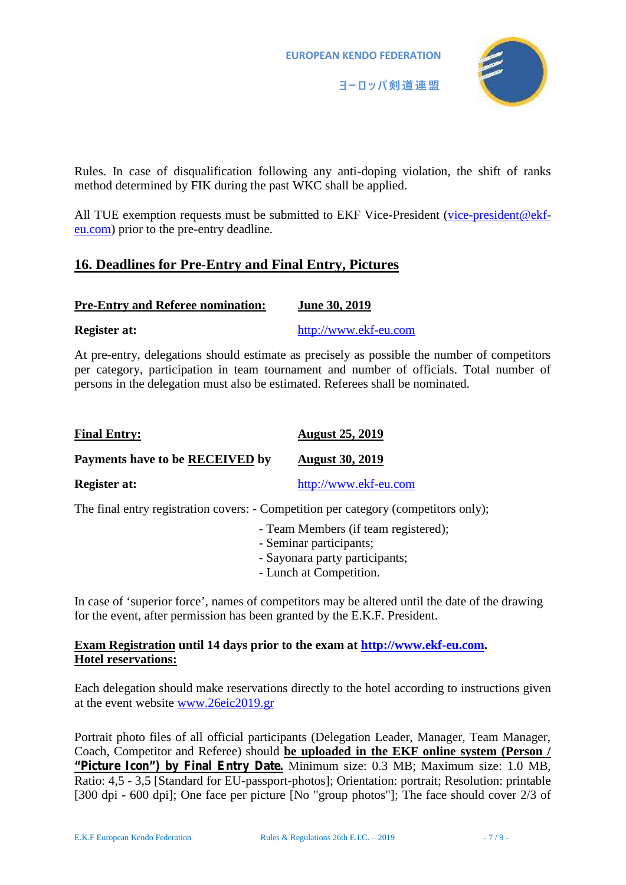**EUROPEAN KENDO FEDERATION**



Rules. In case of disqualification following any anti-doping violation, the shift of ranks method determined by FIK during the past WKC shall be applied.

All TUE exemption requests must be submitted to EKF Vice-President (vice-president@ekfeu.com) prior to the pre-entry deadline.

# **16. Deadlines for Pre-Entry and Final Entry, Pictures**

| <b>Pre-Entry and Referee nomination:</b> | June 30, 2019 |
|------------------------------------------|---------------|
|                                          |               |

**Register at:** http://www.ekf-eu.com

At pre-entry, delegations should estimate as precisely as possible the number of competitors per category, participation in team tournament and number of officials. Total number of persons in the delegation must also be estimated. Referees shall be nominated.

| <b>Final Entry:</b>             | <b>August 25, 2019</b> |
|---------------------------------|------------------------|
| Payments have to be RECEIVED by | <b>August 30, 2019</b> |
| <b>Register at:</b>             | http://www.ekf-eu.com  |

The final entry registration covers: - Competition per category (competitors only);

- Team Members (if team registered);
- Seminar participants;
- Sayonara party participants;
- Lunch at Competition.

In case of 'superior force', names of competitors may be altered until the date of the drawing for the event, after permission has been granted by the E.K.F. President.

### **Exam Registration until 14 days prior to the exam at http://www.ekf-eu.com. Hotel reservations:**

Each delegation should make reservations directly to the hotel according to instructions given at the event website www.26eic2019.gr

Portrait photo files of all official participants (Delegation Leader, Manager, Team Manager, Coach, Competitor and Referee) should **be uploaded in the EKF online system (Person / "Picture Icon") by Final Entry Date.** Minimum size: 0.3 MB; Maximum size: 1.0 MB, Ratio: 4,5 - 3,5 [Standard for EU-passport-photos]; Orientation: portrait; Resolution: printable [300 dpi - 600 dpi]; One face per picture [No "group photos"]; The face should cover 2/3 of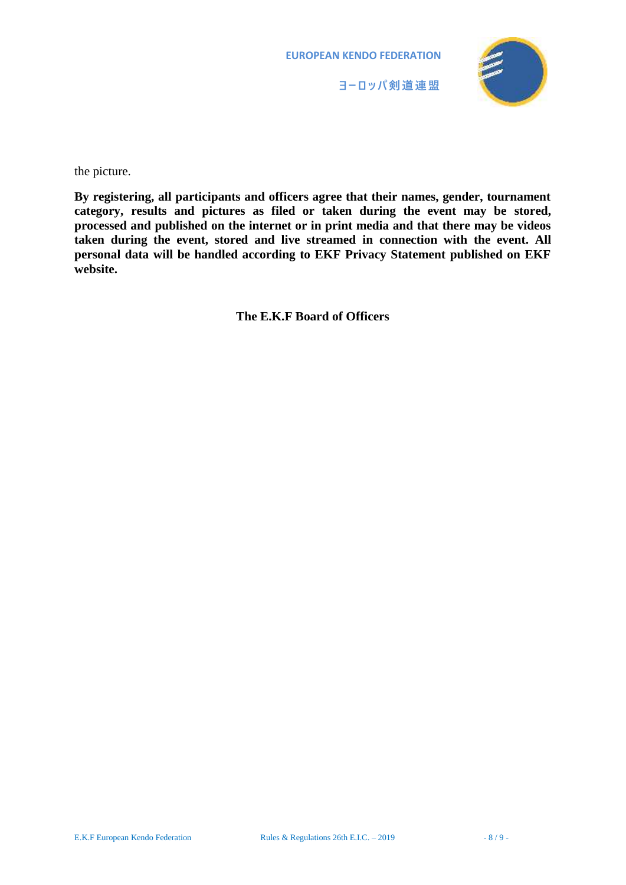**EUROPEAN KENDO FEDERATION**





the picture.

**By registering, all participants and officers agree that their names, gender, tournament category, results and pictures as filed or taken during the event may be stored, processed and published on the internet or in print media and that there may be videos taken during the event, stored and live streamed in connection with the event. All personal data will be handled according to EKF Privacy Statement published on EKF website.**

**The E.K.F Board of Officers**